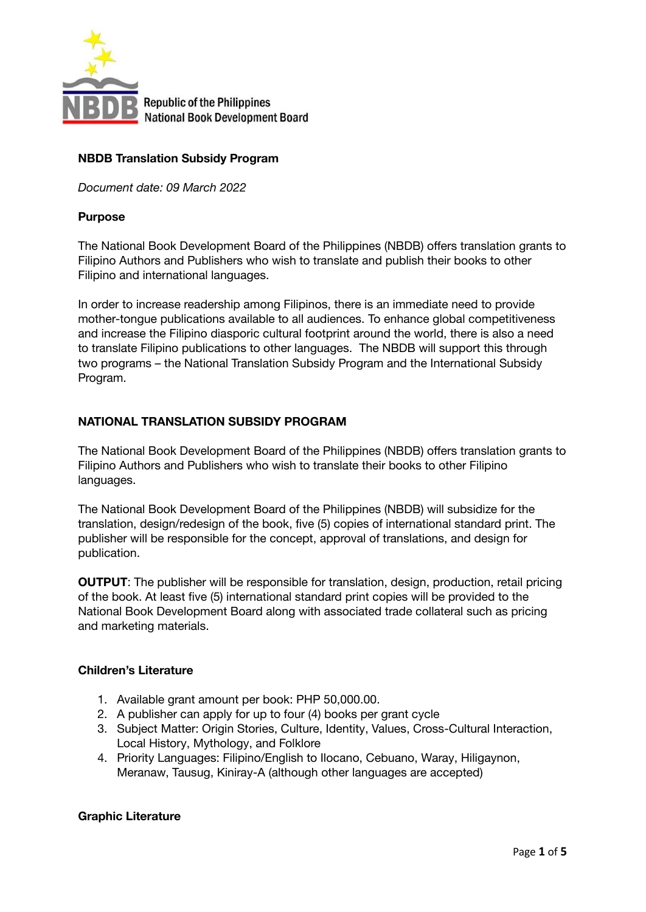

# **NBDB Translation Subsidy Program**

*Document date: 09 March 2022*

### **Purpose**

The National Book Development Board of the Philippines (NBDB) offers translation grants to Filipino Authors and Publishers who wish to translate and publish their books to other Filipino and international languages.

In order to increase readership among Filipinos, there is an immediate need to provide mother-tongue publications available to all audiences. To enhance global competitiveness and increase the Filipino diasporic cultural footprint around the world, there is also a need to translate Filipino publications to other languages. The NBDB will support this through two programs – the National Translation Subsidy Program and the International Subsidy Program.

# **NATIONAL TRANSLATION SUBSIDY PROGRAM**

The National Book Development Board of the Philippines (NBDB) offers translation grants to Filipino Authors and Publishers who wish to translate their books to other Filipino languages.

The National Book Development Board of the Philippines (NBDB) will subsidize for the translation, design/redesign of the book, five (5) copies of international standard print. The publisher will be responsible for the concept, approval of translations, and design for publication.

**OUTPUT:** The publisher will be responsible for translation, design, production, retail pricing of the book. At least five (5) international standard print copies will be provided to the National Book Development Board along with associated trade collateral such as pricing and marketing materials.

# **Children's Literature**

- 1. Available grant amount per book: PHP 50,000.00.
- 2. A publisher can apply for up to four (4) books per grant cycle
- 3. Subject Matter: Origin Stories, Culture, Identity, Values, Cross-Cultural Interaction, Local History, Mythology, and Folklore
- 4. Priority Languages: Filipino/English to Ilocano, Cebuano, Waray, Hiligaynon, Meranaw, Tausug, Kiniray-A (although other languages are accepted)

# **Graphic Literature**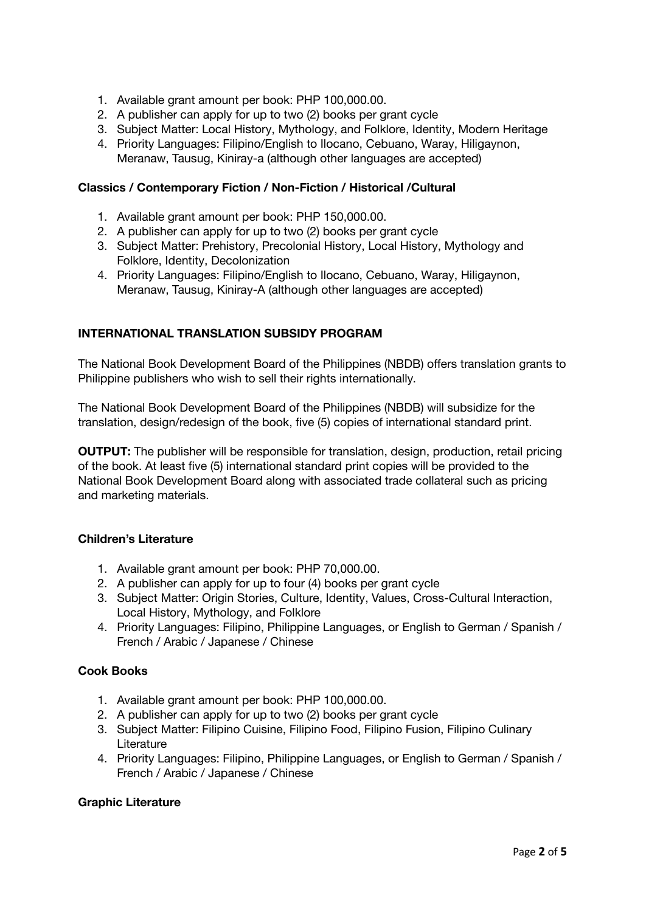- 1. Available grant amount per book: PHP 100,000.00.
- 2. A publisher can apply for up to two (2) books per grant cycle
- 3. Subject Matter: Local History, Mythology, and Folklore, Identity, Modern Heritage
- 4. Priority Languages: Filipino/English to Ilocano, Cebuano, Waray, Hiligaynon, Meranaw, Tausug, Kiniray-a (although other languages are accepted)

### **Classics / Contemporary Fiction / Non-Fiction / Historical /Cultural**

- 1. Available grant amount per book: PHP 150,000.00.
- 2. A publisher can apply for up to two (2) books per grant cycle
- 3. Subject Matter: Prehistory, Precolonial History, Local History, Mythology and Folklore, Identity, Decolonization
- 4. Priority Languages: Filipino/English to Ilocano, Cebuano, Waray, Hiligaynon, Meranaw, Tausug, Kiniray-A (although other languages are accepted)

#### **INTERNATIONAL TRANSLATION SUBSIDY PROGRAM**

The National Book Development Board of the Philippines (NBDB) offers translation grants to Philippine publishers who wish to sell their rights internationally.

The National Book Development Board of the Philippines (NBDB) will subsidize for the translation, design/redesign of the book, five (5) copies of international standard print.

**OUTPUT:** The publisher will be responsible for translation, design, production, retail pricing of the book. At least five (5) international standard print copies will be provided to the National Book Development Board along with associated trade collateral such as pricing and marketing materials.

### **Children's Literature**

- 1. Available grant amount per book: PHP 70,000.00.
- 2. A publisher can apply for up to four (4) books per grant cycle
- 3. Subject Matter: Origin Stories, Culture, Identity, Values, Cross-Cultural Interaction, Local History, Mythology, and Folklore
- 4. Priority Languages: Filipino, Philippine Languages, or English to German / Spanish / French / Arabic / Japanese / Chinese

#### **Cook Books**

- 1. Available grant amount per book: PHP 100,000.00.
- 2. A publisher can apply for up to two (2) books per grant cycle
- 3. Subject Matter: Filipino Cuisine, Filipino Food, Filipino Fusion, Filipino Culinary Literature
- 4. Priority Languages: Filipino, Philippine Languages, or English to German / Spanish / French / Arabic / Japanese / Chinese

#### **Graphic Literature**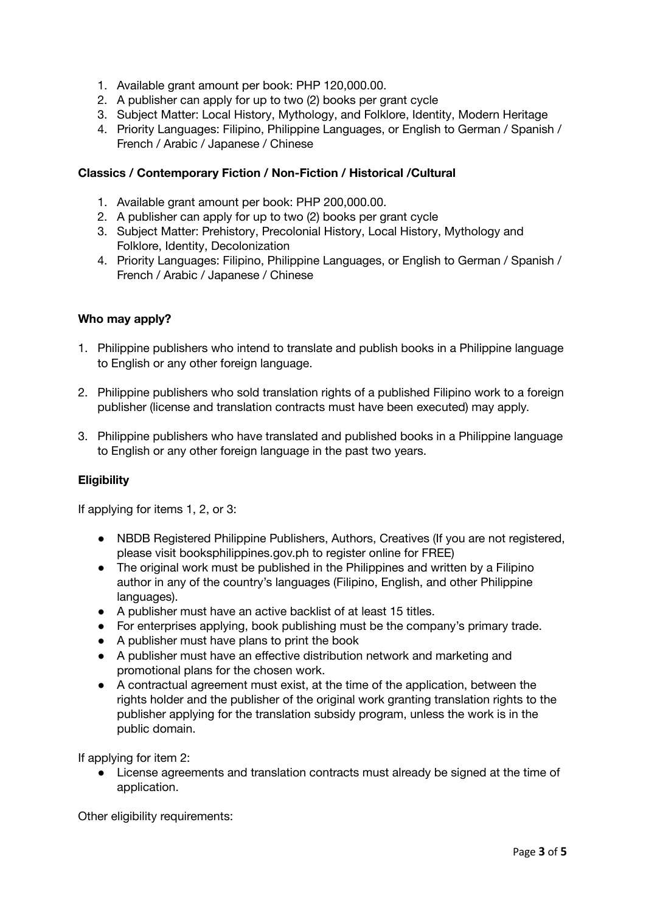- 1. Available grant amount per book: PHP 120,000.00.
- 2. A publisher can apply for up to two (2) books per grant cycle
- 3. Subject Matter: Local History, Mythology, and Folklore, Identity, Modern Heritage
- 4. Priority Languages: Filipino, Philippine Languages, or English to German / Spanish / French / Arabic / Japanese / Chinese

### **Classics / Contemporary Fiction / Non-Fiction / Historical /Cultural**

- 1. Available grant amount per book: PHP 200,000.00.
- 2. A publisher can apply for up to two (2) books per grant cycle
- 3. Subject Matter: Prehistory, Precolonial History, Local History, Mythology and Folklore, Identity, Decolonization
- 4. Priority Languages: Filipino, Philippine Languages, or English to German / Spanish / French / Arabic / Japanese / Chinese

#### **Who may apply?**

- 1. Philippine publishers who intend to translate and publish books in a Philippine language to English or any other foreign language.
- 2. Philippine publishers who sold translation rights of a published Filipino work to a foreign publisher (license and translation contracts must have been executed) may apply.
- 3. Philippine publishers who have translated and published books in a Philippine language to English or any other foreign language in the past two years.

# **Eligibility**

If applying for items 1, 2, or 3:

- NBDB Registered Philippine Publishers, Authors, Creatives (If you are not registered, please visit booksphilippines.gov.ph to register online for FREE)
- The original work must be published in the Philippines and written by a Filipino author in any of the country's languages (Filipino, English, and other Philippine languages).
- A publisher must have an active backlist of at least 15 titles.
- For enterprises applying, book publishing must be the company's primary trade.
- A publisher must have plans to print the book
- A publisher must have an effective distribution network and marketing and promotional plans for the chosen work.
- A contractual agreement must exist, at the time of the application, between the rights holder and the publisher of the original work granting translation rights to the publisher applying for the translation subsidy program, unless the work is in the public domain.

If applying for item 2:

● License agreements and translation contracts must already be signed at the time of application.

Other eligibility requirements: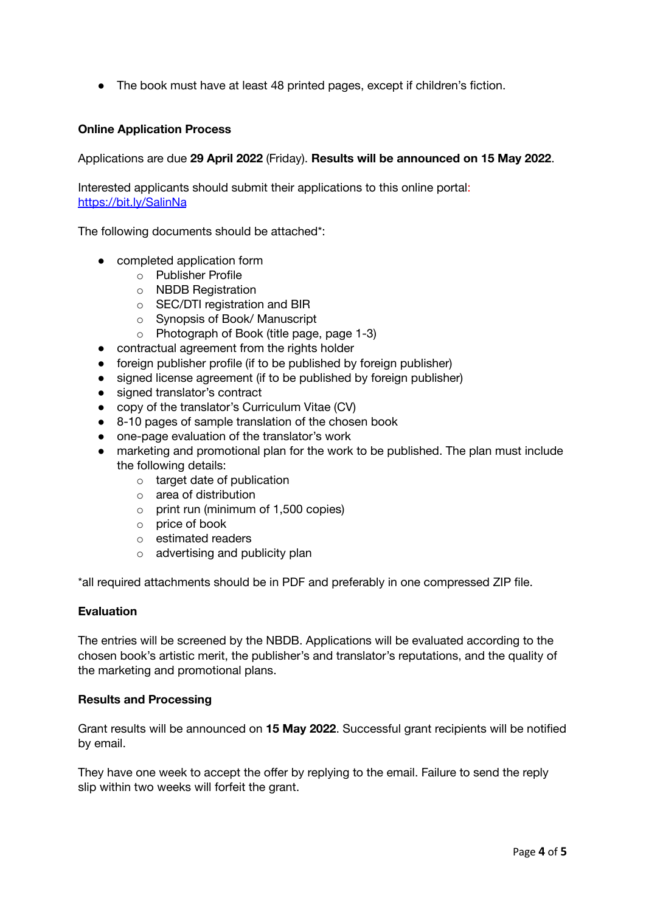● The book must have at least 48 printed pages, except if children's fiction.

# **Online Application Process**

Applications are due **29 April 2022** (Friday). **Results will be announced on 15 May 2022**.

Interested applicants should submit their applications to this online portal: <https://bit.ly/SalinNa>

The following documents should be attached\*:

- completed application form
	- o Publisher Profile
	- o NBDB Registration
	- o SEC/DTI registration and BIR
	- o Synopsis of Book/ Manuscript
	- o Photograph of Book (title page, page 1-3)
- contractual agreement from the rights holder
- foreign publisher profile (if to be published by foreign publisher)
- signed license agreement (if to be published by foreign publisher)
- signed translator's contract
- copy of the translator's Curriculum Vitae (CV)
- 8-10 pages of sample translation of the chosen book
- one-page evaluation of the translator's work
- marketing and promotional plan for the work to be published. The plan must include the following details:
	- o target date of publication
	- o area of distribution
	- o print run (minimum of 1,500 copies)
	- o price of book
	- o estimated readers
	- o advertising and publicity plan

\*all required attachments should be in PDF and preferably in one compressed ZIP file.

#### **Evaluation**

The entries will be screened by the NBDB. Applications will be evaluated according to the chosen book's artistic merit, the publisher's and translator's reputations, and the quality of the marketing and promotional plans.

#### **Results and Processing**

Grant results will be announced on **15 May 2022**. Successful grant recipients will be notified by email.

They have one week to accept the offer by replying to the email. Failure to send the reply slip within two weeks will forfeit the grant.